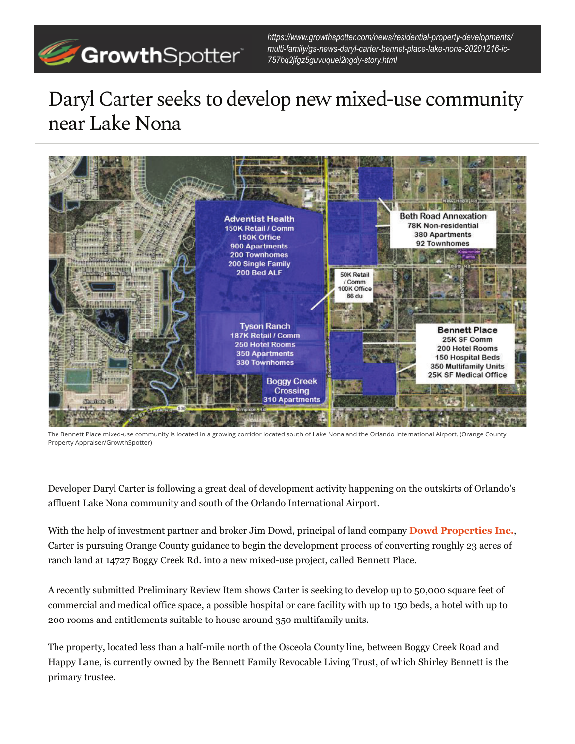

*https://www.growthspotter.com/news/residential-property-developments/ multi-family/gs-news-daryl-carter-bennet-place-lake-nona-20201216-ic-757bq2jfgz5guvuquei2ngdy-story.html*

## Daryl Carter seeks to develop new mixed-use community near Lake Nona



The Bennett Place mixed-use community is located in a growing corridor located south of Lake Nona and the Orlando International Airport. (Orange County Property Appraiser/GrowthSpotter)

Developer Daryl Carter is following a great deal of development activity happening on the outskirts of Orlando's affluent Lake Nona community and south of the Orlando International Airport.

With the help of investment partner and broker Jim Dowd, principal of land company **Dowd Properties Inc.**, Carter is pursuing Orange County guidance to begin the development process of converting roughly 23 acres of ranch land at 14727 Boggy Creek Rd. into a new mixed-use project, called Bennett Place.

A recently submitted Preliminary Review Item shows Carter is seeking to develop up to 50,000 square feet of commercial and medical office space, a possible hospital or care facility with up to 150 beds, a hotel with up to 200 rooms and entitlements suitable to house around 350 multifamily units.

The property, located less than a half-mile north of the Osceola County line, between Boggy Creek Road and Happy Lane, is currently owned by the Bennett Family Revocable Living Trust, of which Shirley Bennett is the primary trustee.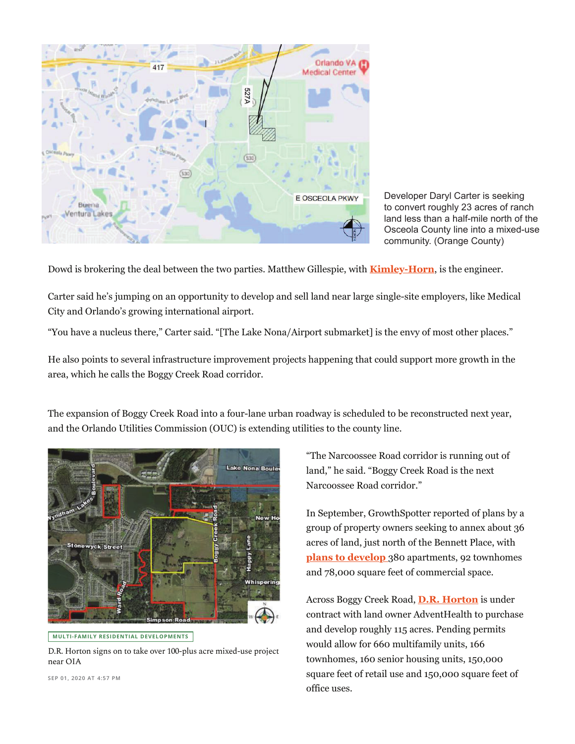

Developer Daryl Carter is seeking to convert roughly 23 acres of ranch land less than a half-mile north of the Osceola County line into a mixed-use community. (Orange County)

Dowd is brokering the deal between the two parties. Matthew Gillespie, with **Kimley-Horn**, is the engineer.

Carter said he's jumping on an opportunity to develop and sell land near large single-site employers, like Medical City and Orlando's growing international airport.

"You have a nucleus there," Carter said. "[The Lake Nona/Airport submarket] is the envy of most other places."

He also points to several infrastructure improvement projects happening that could support more growth in the area, which he calls the Boggy Creek Road corridor.

The expansion of Boggy Creek Road into a four-lane urban roadway is scheduled to be reconstructed next year, and the Orlando Utilities Commission (OUC) is extending utilities to the county line.





D.R. Horton signs on to take over 100-plus acre mixed-use project near OIA

"The Narcoossee Road corridor is running out of land," he said. "Boggy Creek Road is the next Narcoossee Road corridor."

In September, GrowthSpotter reported of plans by a group of property owners seeking to annex about 36 acres of land, just north of the Bennett Place, with **plans to develop** 380 apartments, 92 townhomes and 78,000 square feet of commercial space.

Across Boggy Creek Road, **D.R. Horton** is under contract with land owner AdventHealth to purchase and develop roughly 115 acres. Pending permits would allow for 660 multifamily units, 166 townhomes, 160 senior housing units, 150,000 square feet of retail use and 150,000 square feet of office uses.

**SEP 01, 2020 AT 4:57 PM**